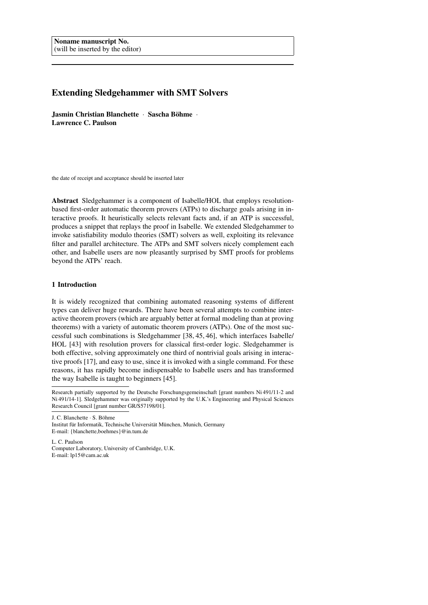# Extending Sledgehammer with SMT Solvers

Jasmin Christian Blanchette · Sascha Böhme · Lawrence C. Paulson

the date of receipt and acceptance should be inserted later

Abstract Sledgehammer is a component of Isabelle/HOL that employs resolutionbased first-order automatic theorem provers (ATPs) to discharge goals arising in interactive proofs. It heuristically selects relevant facts and, if an ATP is successful, produces a snippet that replays the proof in Isabelle. We extended Sledgehammer to invoke satisfiability modulo theories (SMT) solvers as well, exploiting its relevance filter and parallel architecture. The ATPs and SMT solvers nicely complement each other, and Isabelle users are now pleasantly surprised by SMT proofs for problems beyond the ATPs' reach.

## 1 Introduction

It is widely recognized that combining automated reasoning systems of different types can deliver huge rewards. There have been several attempts to combine interactive theorem provers (which are arguably better at formal modeling than at proving theorems) with a variety of automatic theorem provers (ATPs). One of the most successful such combinations is Sledgehammer [38, 45, 46], which interfaces Isabelle/ HOL [43] with resolution provers for classical first-order logic. Sledgehammer is both effective, solving approximately one third of nontrivial goals arising in interactive proofs [17], and easy to use, since it is invoked with a single command. For these reasons, it has rapidly become indispensable to Isabelle users and has transformed the way Isabelle is taught to beginners [45].

Research partially supported by the Deutsche Forschungsgemeinschaft [grant numbers Ni 491/11-2 and Ni 491/14-1]. Sledgehammer was originally supported by the U.K.'s Engineering and Physical Sciences Research Council [grant number GR/S57198/01].

J. C. Blanchette · S. Böhme

Institut für Informatik, Technische Universität München, Munich, Germany E-mail: {blanchette,boehmes}@in.tum.de

L. C. Paulson Computer Laboratory, University of Cambridge, U.K. E-mail: lp15@cam.ac.uk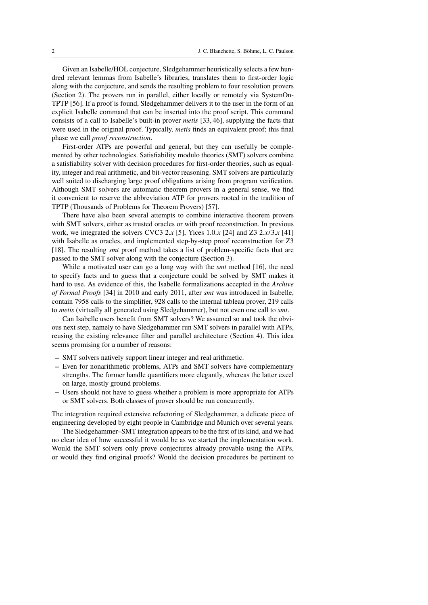Given an Isabelle/HOL conjecture, Sledgehammer heuristically selects a few hundred relevant lemmas from Isabelle's libraries, translates them to first-order logic along with the conjecture, and sends the resulting problem to four resolution provers (Section 2). The provers run in parallel, either locally or remotely via SystemOn-TPTP [56]. If a proof is found, Sledgehammer delivers it to the user in the form of an explicit Isabelle command that can be inserted into the proof script. This command consists of a call to Isabelle's built-in prover *metis* [33, 46], supplying the facts that were used in the original proof. Typically, *metis* finds an equivalent proof; this final phase we call *proof reconstruction*.

First-order ATPs are powerful and general, but they can usefully be complemented by other technologies. Satisfiability modulo theories (SMT) solvers combine a satisfiability solver with decision procedures for first-order theories, such as equality, integer and real arithmetic, and bit-vector reasoning. SMT solvers are particularly well suited to discharging large proof obligations arising from program verification. Although SMT solvers are automatic theorem provers in a general sense, we find it convenient to reserve the abbreviation ATP for provers rooted in the tradition of TPTP (Thousands of Problems for Theorem Provers) [57].

There have also been several attempts to combine interactive theorem provers with SMT solvers, either as trusted oracles or with proof reconstruction. In previous work, we integrated the solvers CVC3 2.*x* [5], Yices 1.0.*x* [24] and Z3 2.*x*/3.*x* [41] with Isabelle as oracles, and implemented step-by-step proof reconstruction for Z3 [18]. The resulting *smt* proof method takes a list of problem-specific facts that are passed to the SMT solver along with the conjecture (Section 3).

While a motivated user can go a long way with the *smt* method [16], the need to specify facts and to guess that a conjecture could be solved by SMT makes it hard to use. As evidence of this, the Isabelle formalizations accepted in the *Archive of Formal Proofs* [34] in 2010 and early 2011, after *smt* was introduced in Isabelle, contain 7958 calls to the simplifier, 928 calls to the internal tableau prover, 219 calls to *metis* (virtually all generated using Sledgehammer), but not even one call to *smt*.

Can Isabelle users benefit from SMT solvers? We assumed so and took the obvious next step, namely to have Sledgehammer run SMT solvers in parallel with ATPs, reusing the existing relevance filter and parallel architecture (Section 4). This idea seems promising for a number of reasons:

- SMT solvers natively support linear integer and real arithmetic.
- Even for nonarithmetic problems, ATPs and SMT solvers have complementary strengths. The former handle quantifiers more elegantly, whereas the latter excel on large, mostly ground problems.
- Users should not have to guess whether a problem is more appropriate for ATPs or SMT solvers. Both classes of prover should be run concurrently.

The integration required extensive refactoring of Sledgehammer, a delicate piece of engineering developed by eight people in Cambridge and Munich over several years.

The Sledgehammer–SMT integration appears to be the first of its kind, and we had no clear idea of how successful it would be as we started the implementation work. Would the SMT solvers only prove conjectures already provable using the ATPs, or would they find original proofs? Would the decision procedures be pertinent to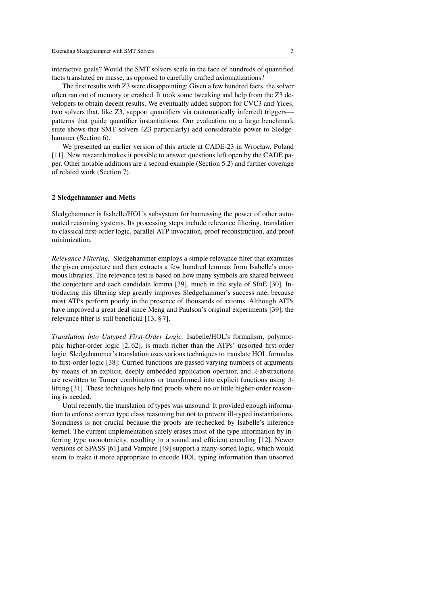interactive goals? Would the SMT solvers scale in the face of hundreds of quantified facts translated en masse, as opposed to carefully crafted axiomatizations?

The first results with Z3 were disappointing: Given a few hundred facts, the solver often ran out of memory or crashed. It took some tweaking and help from the Z3 developers to obtain decent results. We eventually added support for CVC3 and Yices, two solvers that, like Z3, support quantifiers via (automatically inferred) triggers patterns that guide quantifier instantiations. Our evaluation on a large benchmark suite shows that SMT solvers (Z3 particularly) add considerable power to Sledgehammer (Section 6).

We presented an earlier version of this article at CADE-23 in Wrocław, Poland [11]. New research makes it possible to answer questions left open by the CADE paper. Other notable additions are a second example (Section 5.2) and further coverage of related work (Section 7).

#### 2 Sledgehammer and Metis

Sledgehammer is Isabelle/HOL's subsystem for harnessing the power of other automated reasoning systems. Its processing steps include relevance filtering, translation to classical first-order logic, parallel ATP invocation, proof reconstruction, and proof minimization.

*Relevance Filtering.* Sledgehammer employs a simple relevance filter that examines the given conjecture and then extracts a few hundred lemmas from Isabelle's enormous libraries. The relevance test is based on how many symbols are shared between the conjecture and each candidate lemma [39], much in the style of SInE [30]. Introducing this filtering step greatly improves Sledgehammer's success rate, because most ATPs perform poorly in the presence of thousands of axioms. Although ATPs have improved a great deal since Meng and Paulson's original experiments [39], the relevance filter is still beneficial [13, § 7].

*Translation into Untyped First-Order Logic.* Isabelle/HOL's formalism, polymorphic higher-order logic [2, 62], is much richer than the ATPs' unsorted first-order logic. Sledgehammer's translation uses various techniques to translate HOL formulas to first-order logic [38]: Curried functions are passed varying numbers of arguments by means of an explicit, deeply embedded application operator, and λ-abstractions are rewritten to Turner combinators or transformed into explicit functions using  $\lambda$ lifting [31]. These techniques help find proofs where no or little higher-order reasoning is needed.

Until recently, the translation of types was unsound: It provided enough information to enforce correct type class reasoning but not to prevent ill-typed instantiations. Soundness is not crucial because the proofs are rechecked by Isabelle's inference kernel. The current implementation safely erases most of the type information by inferring type monotonicity, resulting in a sound and efficient encoding [12]. Newer versions of SPASS [61] and Vampire [49] support a many-sorted logic, which would seem to make it more appropriate to encode HOL typing information than unsorted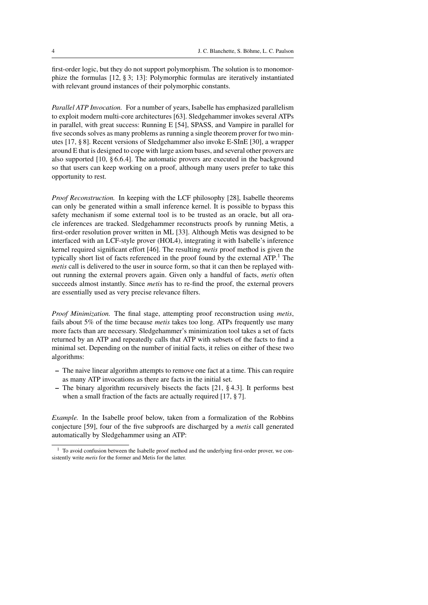first-order logic, but they do not support polymorphism. The solution is to monomorphize the formulas [12, § 3; 13]: Polymorphic formulas are iteratively instantiated with relevant ground instances of their polymorphic constants.

*Parallel ATP Invocation.* For a number of years, Isabelle has emphasized parallelism to exploit modern multi-core architectures [63]. Sledgehammer invokes several ATPs in parallel, with great success: Running E [54], SPASS, and Vampire in parallel for five seconds solves as many problems as running a single theorem prover for two minutes [17, § 8]. Recent versions of Sledgehammer also invoke E-SInE [30], a wrapper around E that is designed to cope with large axiom bases, and several other provers are also supported [10, § 6.6.4]. The automatic provers are executed in the background so that users can keep working on a proof, although many users prefer to take this opportunity to rest.

*Proof Reconstruction.* In keeping with the LCF philosophy [28], Isabelle theorems can only be generated within a small inference kernel. It is possible to bypass this safety mechanism if some external tool is to be trusted as an oracle, but all oracle inferences are tracked. Sledgehammer reconstructs proofs by running Metis, a first-order resolution prover written in ML [33]. Although Metis was designed to be interfaced with an LCF-style prover (HOL4), integrating it with Isabelle's inference kernel required significant effort [46]. The resulting *metis* proof method is given the typically short list of facts referenced in the proof found by the external  $ATP<sup>1</sup>$ . The *metis* call is delivered to the user in source form, so that it can then be replayed without running the external provers again. Given only a handful of facts, *metis* often succeeds almost instantly. Since *metis* has to re-find the proof, the external provers are essentially used as very precise relevance filters.

*Proof Minimization.* The final stage, attempting proof reconstruction using *metis*, fails about 5% of the time because *metis* takes too long. ATPs frequently use many more facts than are necessary. Sledgehammer's minimization tool takes a set of facts returned by an ATP and repeatedly calls that ATP with subsets of the facts to find a minimal set. Depending on the number of initial facts, it relies on either of these two algorithms:

- The naive linear algorithm attempts to remove one fact at a time. This can require as many ATP invocations as there are facts in the initial set.
- The binary algorithm recursively bisects the facts [21, § 4.3]. It performs best when a small fraction of the facts are actually required [17,  $\S 7$ ].

*Example.* In the Isabelle proof below, taken from a formalization of the Robbins conjecture [59], four of the five subproofs are discharged by a *metis* call generated automatically by Sledgehammer using an ATP:

<sup>&</sup>lt;sup>1</sup> To avoid confusion between the Isabelle proof method and the underlying first-order prover, we consistently write *metis* for the former and Metis for the latter.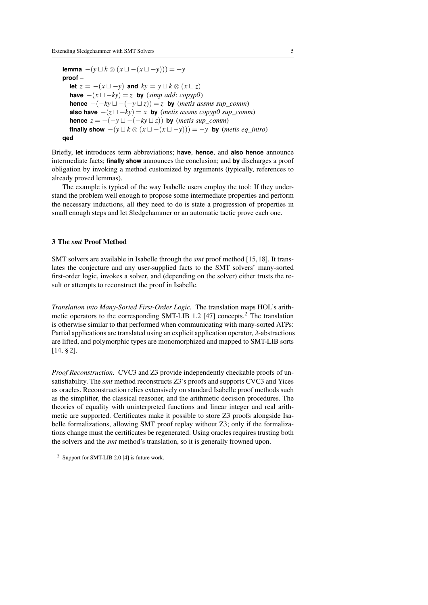**lemma**  $-(y \cup k \otimes (x \cup -(x \cup -y))) = -y$ **proof** – **let**  $z = -(x \sqcup -y)$  and  $ky = y \sqcup k \otimes (x \sqcup z)$ **have**  $-(x \sqcup -ky) = z$  **by** (*simp add: copyp0*) **hence**  $-(-ky \sqcup -(-y \sqcup z)) = z$  **by** (*metis assms sup comm*) **also have**  $-(z \sqcup -ky) = x$  **by** (*metis assms copyp0 sup comm*) **hence**  $z = -(-y \sqcup -(-ky \sqcup z))$  **by** (*metis sup\_comm*) **finally show**  $-(y \perp k \otimes (x \sqcup -(x \sqcup -y))) = -y$  **by** (*metis eq\_intro*) **qed**

Briefly, **let** introduces term abbreviations; **have**, **hence**, and **also hence** announce intermediate facts; **finally show** announces the conclusion; and **by** discharges a proof obligation by invoking a method customized by arguments (typically, references to already proved lemmas).

The example is typical of the way Isabelle users employ the tool: If they understand the problem well enough to propose some intermediate properties and perform the necessary inductions, all they need to do is state a progression of properties in small enough steps and let Sledgehammer or an automatic tactic prove each one.

## 3 The *smt* Proof Method

SMT solvers are available in Isabelle through the *smt* proof method [15, 18]. It translates the conjecture and any user-supplied facts to the SMT solvers' many-sorted first-order logic, invokes a solver, and (depending on the solver) either trusts the result or attempts to reconstruct the proof in Isabelle.

*Translation into Many-Sorted First-Order Logic.* The translation maps HOL's arithmetic operators to the corresponding SMT-LIB 1.2 [47] concepts.<sup>2</sup> The translation is otherwise similar to that performed when communicating with many-sorted ATPs: Partial applications are translated using an explicit application operator, λ-abstractions are lifted, and polymorphic types are monomorphized and mapped to SMT-LIB sorts [14, § 2].

*Proof Reconstruction.* CVC3 and Z3 provide independently checkable proofs of unsatisfiability. The *smt* method reconstructs Z3's proofs and supports CVC3 and Yices as oracles. Reconstruction relies extensively on standard Isabelle proof methods such as the simplifier, the classical reasoner, and the arithmetic decision procedures. The theories of equality with uninterpreted functions and linear integer and real arithmetic are supported. Certificates make it possible to store Z3 proofs alongside Isabelle formalizations, allowing SMT proof replay without Z3; only if the formalizations change must the certificates be regenerated. Using oracles requires trusting both the solvers and the *smt* method's translation, so it is generally frowned upon.

<sup>2</sup> Support for SMT-LIB 2.0 [4] is future work.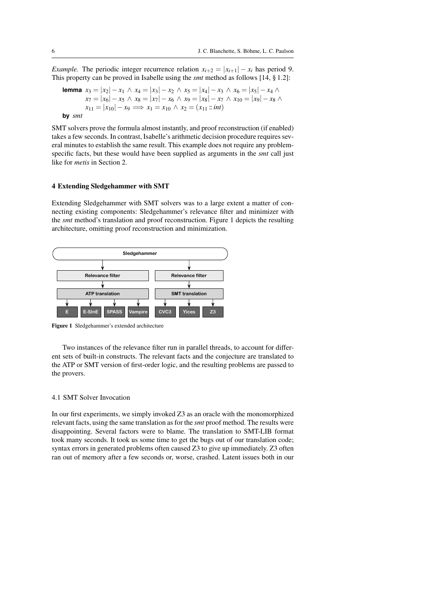*Example.* The periodic integer recurrence relation  $x_{i+2} = |x_{i+1}| - x_i$  has period 9. This property can be proved in Isabelle using the *smt* method as follows [14, § 1.2]:

**lemma** 
$$
x_3 = |x_2| - x_1 \wedge x_4 = |x_3| - x_2 \wedge x_5 = |x_4| - x_3 \wedge x_6 = |x_5| - x_4 \wedge x_7 = |x_6| - x_5 \wedge x_8 = |x_7| - x_6 \wedge x_9 = |x_8| - x_7 \wedge x_{10} = |x_9| - x_8 \wedge x_{11} = |x_{10}| - x_9 \implies x_1 = x_{10} \wedge x_2 = (x_{11} \text{ :: } int)
$$

**by** *smt*

SMT solvers prove the formula almost instantly, and proof reconstruction (if enabled) takes a few seconds. In contrast, Isabelle's arithmetic decision procedure requires several minutes to establish the same result. This example does not require any problemspecific facts, but these would have been supplied as arguments in the *smt* call just like for *metis* in Section 2.

## 4 Extending Sledgehammer with SMT

Extending Sledgehammer with SMT solvers was to a large extent a matter of connecting existing components: Sledgehammer's relevance filter and minimizer with the *smt* method's translation and proof reconstruction. Figure 1 depicts the resulting architecture, omitting proof reconstruction and minimization.



Figure 1 Sledgehammer's extended architecture

Two instances of the relevance filter run in parallel threads, to account for different sets of built-in constructs. The relevant facts and the conjecture are translated to the ATP or SMT version of first-order logic, and the resulting problems are passed to the provers.

## 4.1 SMT Solver Invocation

In our first experiments, we simply invoked Z3 as an oracle with the monomorphized relevant facts, using the same translation as for the *smt* proof method. The results were disappointing. Several factors were to blame. The translation to SMT-LIB format took many seconds. It took us some time to get the bugs out of our translation code; syntax errors in generated problems often caused Z3 to give up immediately. Z3 often ran out of memory after a few seconds or, worse, crashed. Latent issues both in our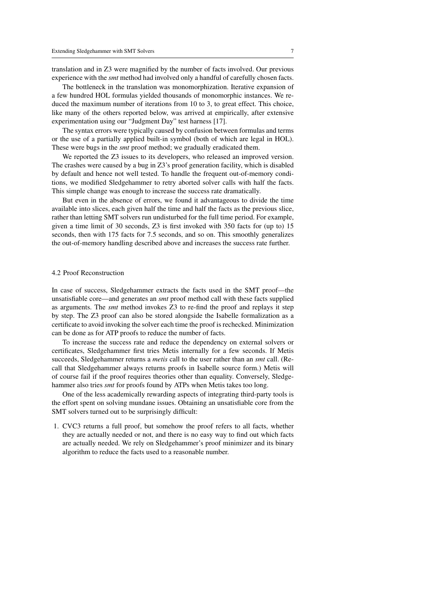translation and in Z3 were magnified by the number of facts involved. Our previous experience with the *smt* method had involved only a handful of carefully chosen facts.

The bottleneck in the translation was monomorphization. Iterative expansion of a few hundred HOL formulas yielded thousands of monomorphic instances. We reduced the maximum number of iterations from 10 to 3, to great effect. This choice, like many of the others reported below, was arrived at empirically, after extensive experimentation using our "Judgment Day" test harness [17].

The syntax errors were typically caused by confusion between formulas and terms or the use of a partially applied built-in symbol (both of which are legal in HOL). These were bugs in the *smt* proof method; we gradually eradicated them.

We reported the Z3 issues to its developers, who released an improved version. The crashes were caused by a bug in Z3's proof generation facility, which is disabled by default and hence not well tested. To handle the frequent out-of-memory conditions, we modified Sledgehammer to retry aborted solver calls with half the facts. This simple change was enough to increase the success rate dramatically.

But even in the absence of errors, we found it advantageous to divide the time available into slices, each given half the time and half the facts as the previous slice, rather than letting SMT solvers run undisturbed for the full time period. For example, given a time limit of 30 seconds, Z3 is first invoked with 350 facts for (up to) 15 seconds, then with 175 facts for 7.5 seconds, and so on. This smoothly generalizes the out-of-memory handling described above and increases the success rate further.

#### 4.2 Proof Reconstruction

In case of success, Sledgehammer extracts the facts used in the SMT proof—the unsatisfiable core—and generates an *smt* proof method call with these facts supplied as arguments. The *smt* method invokes Z3 to re-find the proof and replays it step by step. The Z3 proof can also be stored alongside the Isabelle formalization as a certificate to avoid invoking the solver each time the proof is rechecked. Minimization can be done as for ATP proofs to reduce the number of facts.

To increase the success rate and reduce the dependency on external solvers or certificates, Sledgehammer first tries Metis internally for a few seconds. If Metis succeeds, Sledgehammer returns a *metis* call to the user rather than an *smt* call. (Recall that Sledgehammer always returns proofs in Isabelle source form.) Metis will of course fail if the proof requires theories other than equality. Conversely, Sledgehammer also tries *smt* for proofs found by ATPs when Metis takes too long.

One of the less academically rewarding aspects of integrating third-party tools is the effort spent on solving mundane issues. Obtaining an unsatisfiable core from the SMT solvers turned out to be surprisingly difficult:

1. CVC3 returns a full proof, but somehow the proof refers to all facts, whether they are actually needed or not, and there is no easy way to find out which facts are actually needed. We rely on Sledgehammer's proof minimizer and its binary algorithm to reduce the facts used to a reasonable number.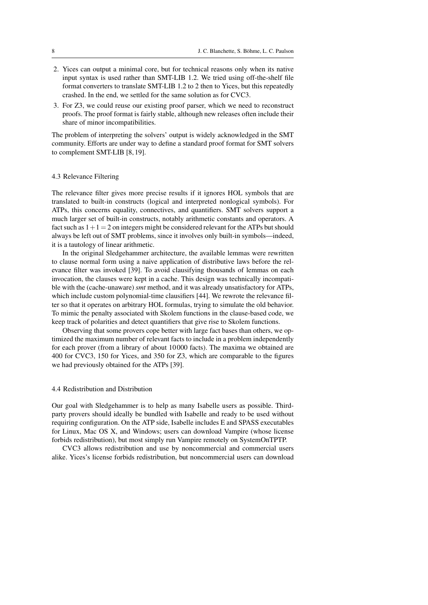- 2. Yices can output a minimal core, but for technical reasons only when its native input syntax is used rather than SMT-LIB 1.2. We tried using off-the-shelf file format converters to translate SMT-LIB 1.2 to 2 then to Yices, but this repeatedly crashed. In the end, we settled for the same solution as for CVC3.
- 3. For Z3, we could reuse our existing proof parser, which we need to reconstruct proofs. The proof format is fairly stable, although new releases often include their share of minor incompatibilities.

The problem of interpreting the solvers' output is widely acknowledged in the SMT community. Efforts are under way to define a standard proof format for SMT solvers to complement SMT-LIB [8, 19].

#### 4.3 Relevance Filtering

The relevance filter gives more precise results if it ignores HOL symbols that are translated to built-in constructs (logical and interpreted nonlogical symbols). For ATPs, this concerns equality, connectives, and quantifiers. SMT solvers support a much larger set of built-in constructs, notably arithmetic constants and operators. A fact such as  $1+1=2$  on integers might be considered relevant for the ATPs but should always be left out of SMT problems, since it involves only built-in symbols—indeed, it is a tautology of linear arithmetic.

In the original Sledgehammer architecture, the available lemmas were rewritten to clause normal form using a naive application of distributive laws before the relevance filter was invoked [39]. To avoid clausifying thousands of lemmas on each invocation, the clauses were kept in a cache. This design was technically incompatible with the (cache-unaware) *smt* method, and it was already unsatisfactory for ATPs, which include custom polynomial-time clausifiers [44]. We rewrote the relevance filter so that it operates on arbitrary HOL formulas, trying to simulate the old behavior. To mimic the penalty associated with Skolem functions in the clause-based code, we keep track of polarities and detect quantifiers that give rise to Skolem functions.

Observing that some provers cope better with large fact bases than others, we optimized the maximum number of relevant facts to include in a problem independently for each prover (from a library of about 10 000 facts). The maxima we obtained are 400 for CVC3, 150 for Yices, and 350 for Z3, which are comparable to the figures we had previously obtained for the ATPs [39].

#### 4.4 Redistribution and Distribution

Our goal with Sledgehammer is to help as many Isabelle users as possible. Thirdparty provers should ideally be bundled with Isabelle and ready to be used without requiring configuration. On the ATP side, Isabelle includes E and SPASS executables for Linux, Mac OS X, and Windows; users can download Vampire (whose license forbids redistribution), but most simply run Vampire remotely on SystemOnTPTP.

CVC3 allows redistribution and use by noncommercial and commercial users alike. Yices's license forbids redistribution, but noncommercial users can download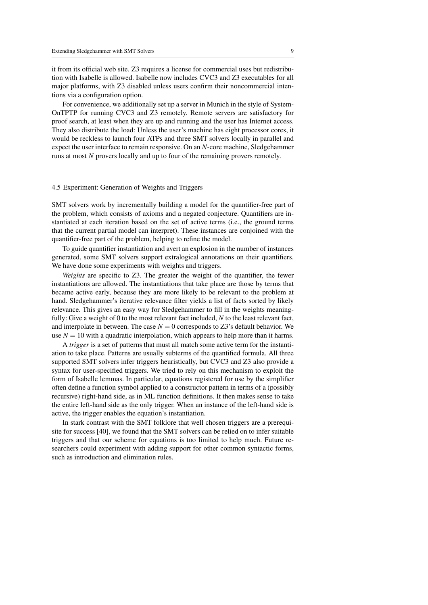it from its official web site. Z3 requires a license for commercial uses but redistribution with Isabelle is allowed. Isabelle now includes CVC3 and Z3 executables for all major platforms, with Z3 disabled unless users confirm their noncommercial intentions via a configuration option.

For convenience, we additionally set up a server in Munich in the style of System-OnTPTP for running CVC3 and Z3 remotely. Remote servers are satisfactory for proof search, at least when they are up and running and the user has Internet access. They also distribute the load: Unless the user's machine has eight processor cores, it would be reckless to launch four ATPs and three SMT solvers locally in parallel and expect the user interface to remain responsive. On an *N*-core machine, Sledgehammer runs at most *N* provers locally and up to four of the remaining provers remotely.

#### 4.5 Experiment: Generation of Weights and Triggers

SMT solvers work by incrementally building a model for the quantifier-free part of the problem, which consists of axioms and a negated conjecture. Quantifiers are instantiated at each iteration based on the set of active terms (i.e., the ground terms that the current partial model can interpret). These instances are conjoined with the quantifier-free part of the problem, helping to refine the model.

To guide quantifier instantiation and avert an explosion in the number of instances generated, some SMT solvers support extralogical annotations on their quantifiers. We have done some experiments with weights and triggers.

*Weights* are specific to Z3. The greater the weight of the quantifier, the fewer instantiations are allowed. The instantiations that take place are those by terms that became active early, because they are more likely to be relevant to the problem at hand. Sledgehammer's iterative relevance filter yields a list of facts sorted by likely relevance. This gives an easy way for Sledgehammer to fill in the weights meaningfully: Give a weight of 0 to the most relevant fact included, *N* to the least relevant fact, and interpolate in between. The case  $N = 0$  corresponds to  $Z3$ 's default behavior. We use  $N = 10$  with a quadratic interpolation, which appears to help more than it harms.

A *trigger* is a set of patterns that must all match some active term for the instantiation to take place. Patterns are usually subterms of the quantified formula. All three supported SMT solvers infer triggers heuristically, but CVC3 and Z3 also provide a syntax for user-specified triggers. We tried to rely on this mechanism to exploit the form of Isabelle lemmas. In particular, equations registered for use by the simplifier often define a function symbol applied to a constructor pattern in terms of a (possibly recursive) right-hand side, as in ML function definitions. It then makes sense to take the entire left-hand side as the only trigger. When an instance of the left-hand side is active, the trigger enables the equation's instantiation.

In stark contrast with the SMT folklore that well chosen triggers are a prerequisite for success [40], we found that the SMT solvers can be relied on to infer suitable triggers and that our scheme for equations is too limited to help much. Future researchers could experiment with adding support for other common syntactic forms, such as introduction and elimination rules.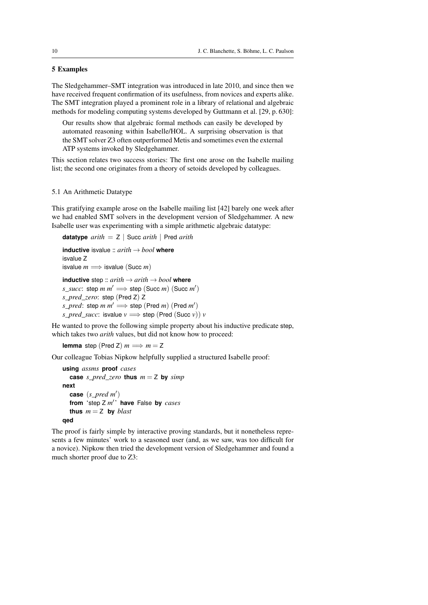## 5 Examples

The Sledgehammer–SMT integration was introduced in late 2010, and since then we have received frequent confirmation of its usefulness, from novices and experts alike. The SMT integration played a prominent role in a library of relational and algebraic methods for modeling computing systems developed by Guttmann et al. [29, p. 630]:

Our results show that algebraic formal methods can easily be developed by automated reasoning within Isabelle/HOL. A surprising observation is that the SMT solver Z3 often outperformed Metis and sometimes even the external ATP systems invoked by Sledgehammer.

This section relates two success stories: The first one arose on the Isabelle mailing list; the second one originates from a theory of setoids developed by colleagues.

### 5.1 An Arithmetic Datatype

This gratifying example arose on the Isabelle mailing list [42] barely one week after we had enabled SMT solvers in the development version of Sledgehammer. A new Isabelle user was experimenting with a simple arithmetic algebraic datatype:

```
datatype arith = Z | Succ arith | Pred arith
```

```
inductive isvalue :: arith → bool where
isvalue Z
isvalue m \Longrightarrow isvalue (Succ m)
inductive step :: arith \rightarrow arith \rightarrow bool where
s\_succ: step m m' \Longrightarrow step (Succ m') (Succ m')
s_pred_zero: step (Pred Z) Z
s\_pred: step m m' \implies step (\textsf{Pred } m) (\textsf{Pred } m')s_pred_succ: isvalue v \implies step (Pred (Succ v)) v
```
He wanted to prove the following simple property about his inductive predicate step, which takes two *arith* values, but did not know how to proceed:

**lemma** step (Pred Z)  $m \implies m = Z$ 

Our colleague Tobias Nipkow helpfully supplied a structured Isabelle proof:

```
using assms proof cases
  case s_pred_zero thus m = Z by simpnext
  case (s_pred m
0
)
  from 'step Z m
0
' have False by cases
  thus m = Z by blast
qed
```
The proof is fairly simple by interactive proving standards, but it nonetheless represents a few minutes' work to a seasoned user (and, as we saw, was too difficult for a novice). Nipkow then tried the development version of Sledgehammer and found a much shorter proof due to Z3: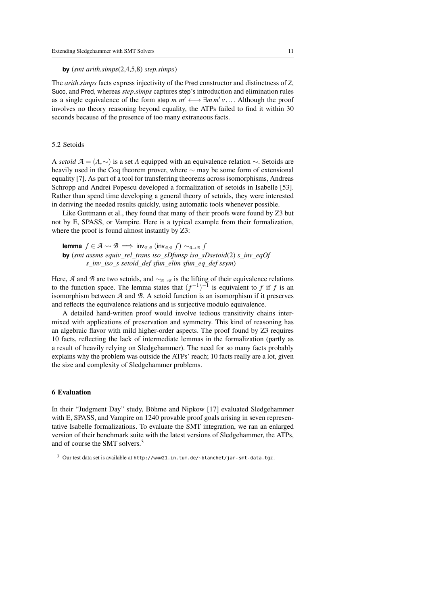#### **by** (*smt arith.simps*(2,4,5,8) *step.simps*)

The *arith.simps* facts express injectivity of the Pred constructor and distinctness of Z, Succ, and Pred, whereas *step.simps* captures step's introduction and elimination rules as a single equivalence of the form step  $m m' \leftrightarrow \exists m m' \vee \dots$ . Although the proof involves no theory reasoning beyond equality the ATPs failed to find it within 30 involves no theory reasoning beyond equality, the ATPs failed to find it within 30 seconds because of the presence of too many extraneous facts.

### 5.2 Setoids

<sup>A</sup> *setoid <sup>A</sup>* = (*A*,∼) is a set *<sup>A</sup>* equipped with an equivalence relation <sup>∼</sup>. Setoids are heavily used in the Coq theorem prover, where  $\sim$  may be some form of extensional equality [7]. As part of a tool for transferring theorems across isomorphisms, Andreas Schropp and Andrei Popescu developed a formalization of setoids in Isabelle [53]. Rather than spend time developing a general theory of setoids, they were interested in deriving the needed results quickly, using automatic tools whenever possible.

Like Guttmann et al., they found that many of their proofs were found by Z3 but not by E, SPASS, or Vampire. Here is a typical example from their formalization, where the proof is found almost instantly by Z3:

**lemma**  $f \in \mathcal{A} \rightsquigarrow \mathcal{B} \implies \text{inv}_{\mathcal{B},\mathcal{A}} (\text{inv}_{\mathcal{A},\mathcal{B}} f) \sim_{\mathcal{A}\rightarrow\mathcal{B}} f$ **by** (*smt assms equiv\_rel\_trans iso\_sDfunsp iso\_sDsetoid*(2) *s\_inv\_eqOf s\_inv\_iso\_s setoid\_def sfun\_elim sfun\_eq\_def ssym*)

Here,  $\hat{A}$  and  $\hat{B}$  are two setoids, and  $\sim_{\hat{A}\to\hat{B}}$  is the lifting of their equivalence relations to the function space. The lemma states that  $(f^{-1})^{-1}$  is equivalent to *f* if *f* is an isomorphism between *A* and *B*. A setoid function is an isomorphism if it preserves and reflects the equivalence relations and is surjective modulo equivalence.

A detailed hand-written proof would involve tedious transitivity chains intermixed with applications of preservation and symmetry. This kind of reasoning has an algebraic flavor with mild higher-order aspects. The proof found by Z3 requires 10 facts, reflecting the lack of intermediate lemmas in the formalization (partly as a result of heavily relying on Sledgehammer). The need for so many facts probably explains why the problem was outside the ATPs' reach; 10 facts really are a lot, given the size and complexity of Sledgehammer problems.

#### 6 Evaluation

In their "Judgment Day" study, Böhme and Nipkow [17] evaluated Sledgehammer with E, SPASS, and Vampire on 1240 provable proof goals arising in seven representative Isabelle formalizations. To evaluate the SMT integration, we ran an enlarged version of their benchmark suite with the latest versions of Sledgehammer, the ATPs, and of course the SMT solvers.<sup>3</sup>

<sup>&</sup>lt;sup>3</sup> Our test data set is available at http://www21.in.tum.de/~blanchet/jar-smt-data.tgz.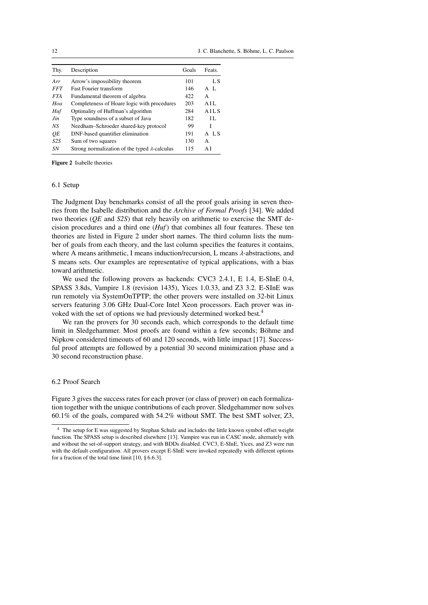| Thy.       | Description                                           | Goals | Feats.    |
|------------|-------------------------------------------------------|-------|-----------|
| Arr        | Arrow's impossibility theorem                         | 101   | LS        |
| <b>FFT</b> | <b>Fast Fourier transform</b>                         | 146   | $A$ $I$ . |
| FTA.       | Fundamental theorem of algebra                        | 422   | A         |
| Hoa        | Completeness of Hoare logic with procedures           | 203   | A H.      |
| Huf        | Optimality of Huffman's algorithm                     | 284   | A H.S     |
| Jin        | Type soundness of a subset of Java                    | 182   | II.       |
| NS         | Needham-Schroeder shared-key protocol                 | 99    | T         |
| OЕ         | DNF-based quantifier elimination                      | 191   | A LS      |
| S2S        | Sum of two squares                                    | 130   | A         |
| SN         | Strong normalization of the typed $\lambda$ -calculus | 115   | ΑI        |

Figure 2 Isabelle theories

### 6.1 Setup

The Judgment Day benchmarks consist of all the proof goals arising in seven theories from the Isabelle distribution and the *Archive of Formal Proofs* [34]. We added two theories (*QE* and *S2S*) that rely heavily on arithmetic to exercise the SMT decision procedures and a third one (*Huf*) that combines all four features. These ten theories are listed in Figure 2 under short names. The third column lists the number of goals from each theory, and the last column specifies the features it contains, where A means arithmetic, I means induction/recursion, L means  $\lambda$ -abstractions, and S means sets. Our examples are representative of typical applications, with a bias toward arithmetic.

We used the following provers as backends: CVC3 2.4.1, E 1.4, E-SInE 0.4, SPASS 3.8ds, Vampire 1.8 (revision 1435), Yices 1.0.33, and Z3 3.2. E-SInE was run remotely via SystemOnTPTP; the other provers were installed on 32-bit Linux servers featuring 3.06 GHz Dual-Core Intel Xeon processors. Each prover was invoked with the set of options we had previously determined worked best.<sup>4</sup>

We ran the provers for 30 seconds each, which corresponds to the default time limit in Sledgehammer. Most proofs are found within a few seconds; Böhme and Nipkow considered timeouts of 60 and 120 seconds, with little impact [17]. Successful proof attempts are followed by a potential 30 second minimization phase and a 30 second reconstruction phase.

## 6.2 Proof Search

Figure 3 gives the success rates for each prover (or class of prover) on each formalization together with the unique contributions of each prover. Sledgehammer now solves 60.1% of the goals, compared with 54.2% without SMT. The best SMT solver, Z3,

<sup>&</sup>lt;sup>4</sup> The setup for E was suggested by Stephan Schulz and includes the little known symbol offset weight function. The SPASS setup is described elsewhere [13]. Vampire was run in CASC mode, alternately with and without the set-of-support strategy, and with BDDs disabled. CVC3, E-SInE, Yices, and Z3 were run with the default configuration. All provers except E-SInE were invoked repeatedly with different options for a fraction of the total time limit [10, § 6.6.3].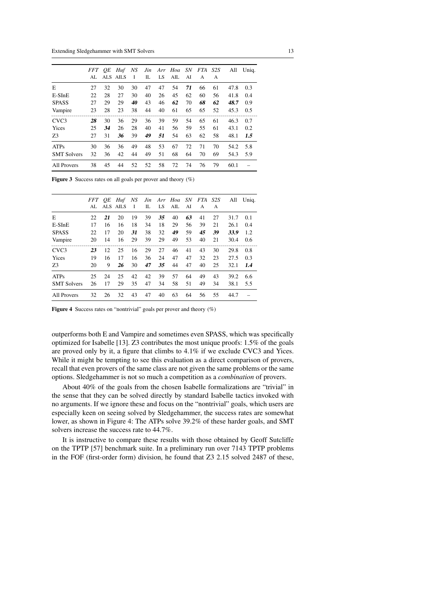|                    | <i>FFT</i><br>AL | OЕ | Huf<br>ALS AILS | NS<br>- 1 | Jin<br>IL | LS. | Arr Hoa<br>AIL | SN<br>AI | FTA S2S<br>A | $\mathsf{A}$ | All  | Uniq. |
|--------------------|------------------|----|-----------------|-----------|-----------|-----|----------------|----------|--------------|--------------|------|-------|
| E                  | 27               | 32 | 30              | 30        | 47        | 47  | 54             | 71       | 66           | 61           | 47.8 | 0.3   |
| $E-SInE$           | 22               | 28 | 27              | 30        | 40        | 26  | 45             | 62       | 60           | 56           | 41.8 | 0.4   |
| <b>SPASS</b>       | 27               | 29 | 29              | 40        | 43        | 46  | 62             | 70       | 68           | 62           | 48.7 | 0.9   |
| Vampire            | 23               | 28 | 23              | 38        | 44        | 40  | 61             | 65       | 65           | 52           | 45.3 | 0.5   |
| CVC <sub>3</sub>   | 28               | 30 | 36              | 29        | 36        | 39  | 59             | 54       | 65           | 61           | 46.3 | 0.7   |
| Yices              | 25               | 34 | 26              | 28        | 40        | 41  | 56             | 59       | 55           | 61           | 43.1 | 0.2   |
| Z <sub>3</sub>     | 27               | 31 | 36              | 39        | 49        | 51  | 54             | 63       | 62           | 58           | 48.1 | 1.5   |
| <b>ATPs</b>        | 30               | 36 | 36              | 49        | 48        | 53  | 67             | 72       | 71           | 70           | 54.2 | 5.8   |
| <b>SMT Solvers</b> | 32               | 36 | 42              | 44        | 49        | 51  | 68             | 64       | 70           | 69           | 54.3 | 5.9   |
| All Provers        | 38               | 45 | 44              | 52        | 52        | 58  | 72             | 74       | 76           | 79           | 60.1 |       |

**Figure 3** Success rates on all goals per prover and theory  $(\%)$ 

|                    | FFT<br>AL | OE<br>ALS. | Huf<br><b>AILS</b> | NS<br>1 | Jin<br>IL | LS | Arr Hoa SN<br>$\rm{AIL}$ | AI | FTA<br>A | S2S<br>A | All  | Uniq. |
|--------------------|-----------|------------|--------------------|---------|-----------|----|--------------------------|----|----------|----------|------|-------|
| E                  | 22        | 21         | 20                 | 19      | 39        | 35 | 40                       | 63 | 41       | 27       | 31.7 | 0.1   |
| $E-SInE$           | 17        | 16         | 16                 | 18      | 34        | 18 | 29                       | 56 | 39       | 21       | 26.1 | 0.4   |
| <b>SPASS</b>       | 22        | 17         | 20                 | 31      | 38        | 32 | 49                       | 59 | 45       | 39       | 33.9 | 1.2   |
| Vampire            | 20        | 14         | 16                 | 29      | 39        | 29 | 49                       | 53 | 40       | 21       | 30.4 | 0.6   |
| CVC <sub>3</sub>   | 23        | 12         | 25                 | 16      | 29        | 27 | 46                       | 41 | 43       | 30       | 29.8 | 0.8   |
| Yices              | 19        | 16         | 17                 | 16      | 36        | 24 | 47                       | 47 | 32       | 23       | 27.5 | 0.3   |
| 73                 | 20        | 9          | 26                 | 30      | 47        | 35 | 44                       | 47 | 40       | 25       | 32.1 | 1.4   |
| <b>ATPs</b>        | 25        | 24         | 25                 | 42      | 42        | 39 | 57                       | 64 | 49       | 43       | 39.2 | 6.6   |
| <b>SMT Solvers</b> | 26        | 17         | 29                 | 35      | 47        | 34 | 58                       | 51 | 49       | 34       | 38.1 | 5.5   |
| All Provers        | 32        | 26         | 32                 | 43      | 47        | 40 | 63                       | 64 | 56       | 55       | 44.7 |       |

Figure 4 Success rates on "nontrivial" goals per prover and theory (%)

outperforms both E and Vampire and sometimes even SPASS, which was specifically optimized for Isabelle [13]. Z3 contributes the most unique proofs: 1.5% of the goals are proved only by it, a figure that climbs to 4.1% if we exclude CVC3 and Yices. While it might be tempting to see this evaluation as a direct comparison of provers, recall that even provers of the same class are not given the same problems or the same options. Sledgehammer is not so much a competition as a *combination* of provers.

About 40% of the goals from the chosen Isabelle formalizations are "trivial" in the sense that they can be solved directly by standard Isabelle tactics invoked with no arguments. If we ignore these and focus on the "nontrivial" goals, which users are especially keen on seeing solved by Sledgehammer, the success rates are somewhat lower, as shown in Figure 4: The ATPs solve 39.2% of these harder goals, and SMT solvers increase the success rate to 44.7%.

It is instructive to compare these results with those obtained by Geoff Sutcliffe on the TPTP [57] benchmark suite. In a preliminary run over 7143 TPTP problems in the FOF (first-order form) division, he found that Z3 2.15 solved 2487 of these,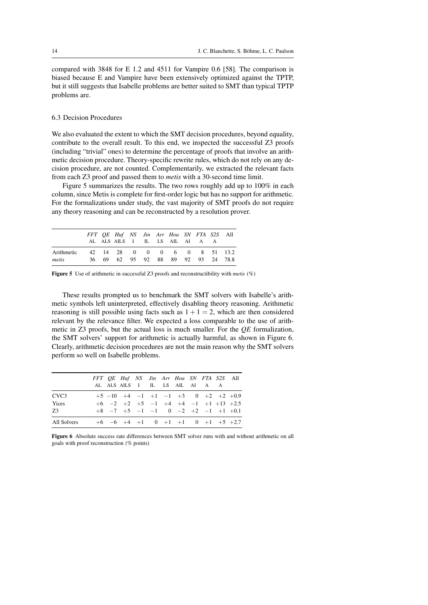compared with 3848 for E 1.2 and 4511 for Vampire 0.6 [58]. The comparison is biased because E and Vampire have been extensively optimized against the TPTP, but it still suggests that Isabelle problems are better suited to SMT than typical TPTP problems are.

## 6.3 Decision Procedures

We also evaluated the extent to which the SMT decision procedures, beyond equality, contribute to the overall result. To this end, we inspected the successful Z3 proofs (including "trivial" ones) to determine the percentage of proofs that involve an arithmetic decision procedure. Theory-specific rewrite rules, which do not rely on any decision procedure, are not counted. Complementarily, we extracted the relevant facts from each Z3 proof and passed them to *metis* with a 30-second time limit.

Figure 5 summarizes the results. The two rows roughly add up to 100% in each column, since Metis is complete for first-order logic but has no support for arithmetic. For the formalizations under study, the vast majority of SMT proofs do not require any theory reasoning and can be reconstructed by a resolution prover.

|                     |  | FFT QE Huf NS Jin Arr Hoa SN FTA S2S All<br>ALALSAILS I ILLSAILAI A A |  |  |  |  |
|---------------------|--|-----------------------------------------------------------------------|--|--|--|--|
| Arithmetic<br>metis |  | 42 14 28 0 0 0 6 0 8 51 13.2<br>36 69 62 95 92 88 89 92 93 24 78.8    |  |  |  |  |

Figure 5 Use of arithmetic in successful Z3 proofs and reconstructibility with *metis* (%)

These results prompted us to benchmark the SMT solvers with Isabelle's arithmetic symbols left uninterpreted, effectively disabling theory reasoning. Arithmetic reasoning is still possible using facts such as  $1 + 1 = 2$ , which are then considered relevant by the relevance filter. We expected a loss comparable to the use of arithmetic in Z3 proofs, but the actual loss is much smaller. For the *QE* formalization, the SMT solvers' support for arithmetic is actually harmful, as shown in Figure 6. Clearly, arithmetic decision procedures are not the main reason why the SMT solvers perform so well on Isabelle problems.

|                  |  | FFT QE Huf NS Jin Arr Hoa SN FTA S2S All<br>AL ALS AILS I IL LS AIL AI A A |  |  |  |  |
|------------------|--|----------------------------------------------------------------------------|--|--|--|--|
| CVC <sub>3</sub> |  | $+5$ -10 +4 -1 +1 -1 +3 0 +2 +2 +0.9                                       |  |  |  |  |
| Yices            |  | $+6$ $-2$ $+2$ $+5$ $-1$ $+4$ $+4$ $-1$ $+1$ $+13$ $+2.5$                  |  |  |  |  |
| 73               |  | $+8$ $-7$ $+5$ $-1$ $-1$ 0 $-2$ $+2$ $-1$ $+1$ $+0.1$                      |  |  |  |  |
| All Solvers      |  | $+6$ $-6$ $+4$ $+1$ 0 $+1$ $+1$ 0 $+1$ $+5$ $+2.7$                         |  |  |  |  |

Figure 6 Absolute success rate differences between SMT solver runs with and without arithmetic on all goals with proof reconstruction (% points)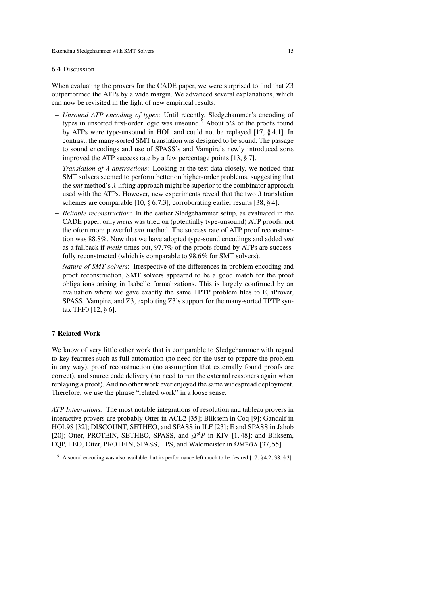#### 6.4 Discussion

When evaluating the provers for the CADE paper, we were surprised to find that Z3 outperformed the ATPs by a wide margin. We advanced several explanations, which can now be revisited in the light of new empirical results.

- *Unsound ATP encoding of types*: Until recently, Sledgehammer's encoding of types in unsorted first-order logic was unsound.<sup>5</sup> About 5% of the proofs found by ATPs were type-unsound in HOL and could not be replayed [17, § 4.1]. In contrast, the many-sorted SMT translation was designed to be sound. The passage to sound encodings and use of SPASS's and Vampire's newly introduced sorts improved the ATP success rate by a few percentage points [13, § 7].
- *Translation of* λ*-abstractions*: Looking at the test data closely, we noticed that SMT solvers seemed to perform better on higher-order problems, suggesting that the *smt* method's λ-lifting approach might be superior to the combinator approach used with the ATPs. However, new experiments reveal that the two  $\lambda$  translation schemes are comparable [10, § 6.7.3], corroborating earlier results [38, § 4].
- *Reliable reconstruction*: In the earlier Sledgehammer setup, as evaluated in the CADE paper, only *metis* was tried on (potentially type-unsound) ATP proofs, not the often more powerful *smt* method. The success rate of ATP proof reconstruction was 88.8%. Now that we have adopted type-sound encodings and added *smt* as a fallback if *metis* times out, 97.7% of the proofs found by ATPs are successfully reconstructed (which is comparable to 98.6% for SMT solvers).
- *Nature of SMT solvers*: Irrespective of the differences in problem encoding and proof reconstruction, SMT solvers appeared to be a good match for the proof obligations arising in Isabelle formalizations. This is largely confirmed by an evaluation where we gave exactly the same TPTP problem files to E, iProver, SPASS, Vampire, and Z3, exploiting Z3's support for the many-sorted TPTP syntax TFF0 [12, § 6].

## 7 Related Work

We know of very little other work that is comparable to Sledgehammer with regard to key features such as full automation (no need for the user to prepare the problem in any way), proof reconstruction (no assumption that externally found proofs are correct), and source code delivery (no need to run the external reasoners again when replaying a proof). And no other work ever enjoyed the same widespread deployment. Therefore, we use the phrase "related work" in a loose sense.

*ATP Integrations.* The most notable integrations of resolution and tableau provers in interactive provers are probably Otter in ACL2 [35]; Bliksem in Coq [9]; Gandalf in HOL98 [32]; DISCOUNT, SETHEO, and SPASS in ILF [23]; E and SPASS in Jahob [20]; Otter, PROTEIN, SETHEO, SPASS, and  $3^{TAP}$  in KIV [1, 48]; and Bliksem, EQP, LEO, Otter, PROTEIN, SPASS, TPS, and Waldmeister in ΩMEGA [37, 55].

<sup>5</sup> A sound encoding was also available, but its performance left much to be desired [17, § 4.2; 38, § 3].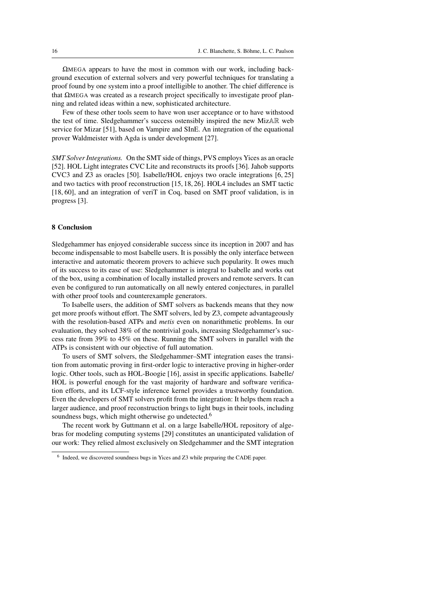$\Omega$ MEGA appears to have the most in common with our work, including background execution of external solvers and very powerful techniques for translating a proof found by one system into a proof intelligible to another. The chief difference is that  $ΩMEGA$  was created as a research project specifically to investigate proof planning and related ideas within a new, sophisticated architecture.

Few of these other tools seem to have won user acceptance or to have withstood the test of time. Sledgehammer's success ostensibly inspired the new MizAR web service for Mizar [51], based on Vampire and SInE. An integration of the equational prover Waldmeister with Agda is under development [27].

*SMT Solver Integrations.* On the SMT side of things, PVS employs Yices as an oracle [52]. HOL Light integrates CVC Lite and reconstructs its proofs [36]. Jahob supports CVC3 and Z3 as oracles [50]. Isabelle/HOL enjoys two oracle integrations [6, 25] and two tactics with proof reconstruction [15, 18, 26]. HOL4 includes an SMT tactic [18, 60], and an integration of veriT in Coq, based on SMT proof validation, is in progress [3].

### 8 Conclusion

Sledgehammer has enjoyed considerable success since its inception in 2007 and has become indispensable to most Isabelle users. It is possibly the only interface between interactive and automatic theorem provers to achieve such popularity. It owes much of its success to its ease of use: Sledgehammer is integral to Isabelle and works out of the box, using a combination of locally installed provers and remote servers. It can even be configured to run automatically on all newly entered conjectures, in parallel with other proof tools and counterexample generators.

To Isabelle users, the addition of SMT solvers as backends means that they now get more proofs without effort. The SMT solvers, led by Z3, compete advantageously with the resolution-based ATPs and *metis* even on nonarithmetic problems. In our evaluation, they solved 38% of the nontrivial goals, increasing Sledgehammer's success rate from 39% to 45% on these. Running the SMT solvers in parallel with the ATPs is consistent with our objective of full automation.

To users of SMT solvers, the Sledgehammer–SMT integration eases the transition from automatic proving in first-order logic to interactive proving in higher-order logic. Other tools, such as HOL-Boogie [16], assist in specific applications. Isabelle/ HOL is powerful enough for the vast majority of hardware and software verification efforts, and its LCF-style inference kernel provides a trustworthy foundation. Even the developers of SMT solvers profit from the integration: It helps them reach a larger audience, and proof reconstruction brings to light bugs in their tools, including soundness bugs, which might otherwise go undetected.<sup>6</sup>

The recent work by Guttmann et al. on a large Isabelle/HOL repository of algebras for modeling computing systems [29] constitutes an unanticipated validation of our work: They relied almost exclusively on Sledgehammer and the SMT integration

<sup>&</sup>lt;sup>6</sup> Indeed, we discovered soundness bugs in Yices and Z3 while preparing the CADE paper.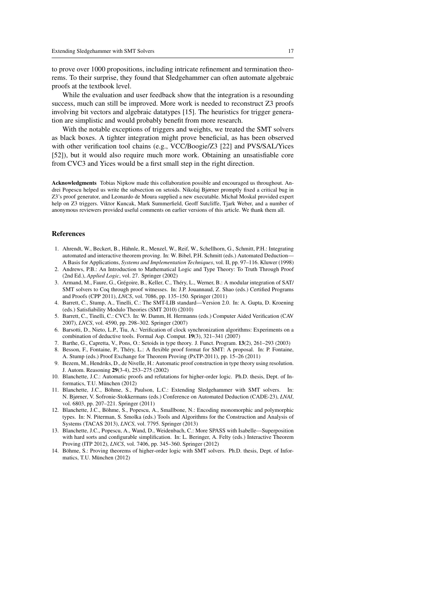to prove over 1000 propositions, including intricate refinement and termination theorems. To their surprise, they found that Sledgehammer can often automate algebraic proofs at the textbook level.

While the evaluation and user feedback show that the integration is a resounding success, much can still be improved. More work is needed to reconstruct Z3 proofs involving bit vectors and algebraic datatypes [15]. The heuristics for trigger generation are simplistic and would probably benefit from more research.

With the notable exceptions of triggers and weights, we treated the SMT solvers as black boxes. A tighter integration might prove beneficial, as has been observed with other verification tool chains (e.g., VCC/Boogie/Z3 [22] and PVS/SAL/Yices [52]), but it would also require much more work. Obtaining an unsatisfiable core from CVC3 and Yices would be a first small step in the right direction.

Acknowledgments Tobias Nipkow made this collaboration possible and encouraged us throughout. Andrei Popescu helped us write the subsection on setoids. Nikolaj Bjørner promptly fixed a critical bug in Z3's proof generator, and Leonardo de Moura supplied a new executable. Michał Moskal provided expert help on Z3 triggers. Viktor Kuncak, Mark Summerfield, Geoff Sutcliffe, Tjark Weber, and a number of anonymous reviewers provided useful comments on earlier versions of this article. We thank them all.

#### References

- 1. Ahrendt, W., Beckert, B., Hähnle, R., Menzel, W., Reif, W., Schellhorn, G., Schmitt, P.H.: Integrating automated and interactive theorem proving. In: W. Bibel, P.H. Schmitt (eds.) Automated Deduction— A Basis for Applications, *Systems and Implementation Techniques*, vol. II, pp. 97–116. Kluwer (1998)
- 2. Andrews, P.B.: An Introduction to Mathematical Logic and Type Theory: To Truth Through Proof (2nd Ed.), *Applied Logic*, vol. 27. Springer (2002)
- 3. Armand, M., Faure, G., Grégoire, B., Keller, C., Théry, L., Werner, B.: A modular integration of SAT/ SMT solvers to Coq through proof witnesses. In: J.P. Jouannaud, Z. Shao (eds.) Certified Programs and Proofs (CPP 2011), *LNCS*, vol. 7086, pp. 135–150. Springer (2011)
- 4. Barrett, C., Stump, A., Tinelli, C.: The SMT-LIB standard—Version 2.0. In: A. Gupta, D. Kroening (eds.) Satisfiability Modulo Theories (SMT 2010) (2010)
- 5. Barrett, C., Tinelli, C.: CVC3. In: W. Damm, H. Hermanns (eds.) Computer Aided Verification (CAV 2007), *LNCS*, vol. 4590, pp. 298–302. Springer (2007)
- 6. Barsotti, D., Nieto, L.P., Tiu, A.: Verification of clock synchronization algorithms: Experiments on a combination of deductive tools. Formal Asp. Comput. 19(3), 321–341 (2007)
- 7. Barthe, G., Capretta, V., Pons, O.: Setoids in type theory. J. Funct. Program. 13(2), 261–293 (2003)
- 8. Besson, F., Fontaine, P., Théry, L.: A flexible proof format for SMT: A proposal. In: P. Fontaine, A. Stump (eds.) Proof Exchange for Theorem Proving (PxTP-2011), pp. 15–26 (2011)
- 9. Bezem, M., Hendriks, D., de Nivelle, H.: Automatic proof construction in type theory using resolution. J. Autom. Reasoning 29(3-4), 253–275 (2002)
- 10. Blanchette, J.C.: Automatic proofs and refutations for higher-order logic. Ph.D. thesis, Dept. of Informatics, T.U. München (2012)
- 11. Blanchette, J.C., Böhme, S., Paulson, L.C.: Extending Sledgehammer with SMT solvers. In: N. Bjørner, V. Sofronie-Stokkermans (eds.) Conference on Automated Deduction (CADE-23), *LNAI*, vol. 6803, pp. 207–221. Springer (2011)
- 12. Blanchette, J.C., Böhme, S., Popescu, A., Smallbone, N.: Encoding monomorphic and polymorphic types. In: N. Piterman, S. Smolka (eds.) Tools and Algorithms for the Construction and Analysis of Systems (TACAS 2013), *LNCS*, vol. 7795. Springer (2013)
- 13. Blanchette, J.C., Popescu, A., Wand, D., Weidenbach, C.: More SPASS with Isabelle—Superposition with hard sorts and configurable simplification. In: L. Beringer, A. Felty (eds.) Interactive Theorem Proving (ITP 2012), *LNCS*, vol. 7406, pp. 345–360. Springer (2012)
- 14. Böhme, S.: Proving theorems of higher-order logic with SMT solvers. Ph.D. thesis, Dept. of Informatics, T.U. München (2012)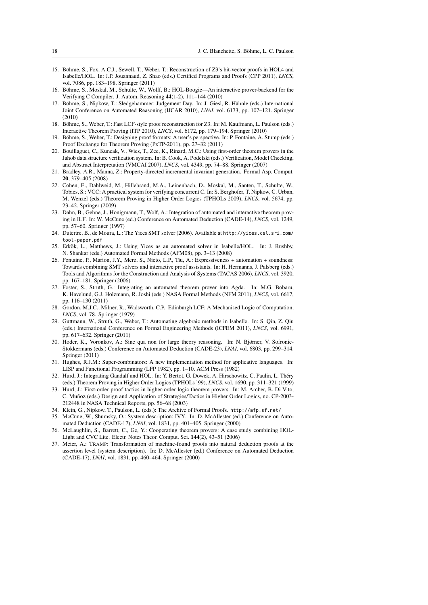- 15. Böhme, S., Fox, A.C.J., Sewell, T., Weber, T.: Reconstruction of Z3's bit-vector proofs in HOL4 and Isabelle/HOL. In: J.P. Jouannaud, Z. Shao (eds.) Certified Programs and Proofs (CPP 2011), *LNCS*, vol. 7086, pp. 183–198. Springer (2011)
- 16. Böhme, S., Moskal, M., Schulte, W., Wolff, B.: HOL-Boogie—An interactive prover-backend for the Verifying C Compiler. J. Autom. Reasoning 44(1-2), 111–144 (2010)
- 17. Böhme, S., Nipkow, T.: Sledgehammer: Judgement Day. In: J. Giesl, R. Hähnle (eds.) International Joint Conference on Automated Reasoning (IJCAR 2010), *LNAI*, vol. 6173, pp. 107–121. Springer (2010)
- 18. Böhme, S., Weber, T.: Fast LCF-style proof reconstruction for Z3. In: M. Kaufmann, L. Paulson (eds.) Interactive Theorem Proving (ITP 2010), *LNCS*, vol. 6172, pp. 179–194. Springer (2010)
- 19. Böhme, S., Weber, T.: Designing proof formats: A user's perspective. In: P. Fontaine, A. Stump (eds.) Proof Exchange for Theorem Proving (PxTP-2011), pp. 27–32 (2011)
- 20. Bouillaguet, C., Kuncak, V., Wies, T., Zee, K., Rinard, M.C.: Using first-order theorem provers in the Jahob data structure verification system. In: B. Cook, A. Podelski (eds.) Verification, Model Checking, and Abstract Interpretation (VMCAI 2007), *LNCS*, vol. 4349, pp. 74–88. Springer (2007)
- 21. Bradley, A.R., Manna, Z.: Property-directed incremental invariant generation. Formal Asp. Comput. 20, 379–405 (2008)
- 22. Cohen, E., Dahlweid, M., Hillebrand, M.A., Leinenbach, D., Moskal, M., Santen, T., Schulte, W., Tobies, S.: VCC: A practical system for verifying concurrent C. In: S. Berghofer, T. Nipkow, C. Urban, M. Wenzel (eds.) Theorem Proving in Higher Order Logics (TPHOLs 2009), *LNCS*, vol. 5674, pp. 23–42. Springer (2009)
- 23. Dahn, B., Gehne, J., Honigmann, T., Wolf, A.: Integration of automated and interactive theorem proving in ILF. In: W. McCune (ed.) Conference on Automated Deduction (CADE-14), *LNCS*, vol. 1249, pp. 57–60. Springer (1997)
- 24. Dutertre, B., de Moura, L.: The Yices SMT solver (2006). Available at http://yices.csl.sri.com/ tool-paper.pdf
- 25. Erkök, L., Matthews, J.: Using Yices as an automated solver in Isabelle/HOL. In: J. Rushby, N. Shankar (eds.) Automated Formal Methods (AFM08), pp. 3–13 (2008)
- 26. Fontaine, P., Marion, J.Y., Merz, S., Nieto, L.P., Tiu, A.: Expressiveness + automation + soundness: Towards combining SMT solvers and interactive proof assistants. In: H. Hermanns, J. Palsberg (eds.) Tools and Algorithms for the Construction and Analysis of Systems (TACAS 2006), *LNCS*, vol. 3920, pp. 167–181. Springer (2006)
- 27. Foster, S., Struth, G.: Integrating an automated theorem prover into Agda. In: M.G. Bobaru, K. Havelund, G.J. Holzmann, R. Joshi (eds.) NASA Formal Methods (NFM 2011), *LNCS*, vol. 6617, pp. 116–130 (2011)
- 28. Gordon, M.J.C., Milner, R., Wadsworth, C.P.: Edinburgh LCF: A Mechanised Logic of Computation, *LNCS*, vol. 78. Springer (1979)
- 29. Guttmann, W., Struth, G., Weber, T.: Automating algebraic methods in Isabelle. In: S. Qin, Z. Qiu (eds.) International Conference on Formal Engineering Methods (ICFEM 2011), *LNCS*, vol. 6991, pp. 617–632. Springer (2011)
- 30. Hoder, K., Voronkov, A.: Sine qua non for large theory reasoning. In: N. Bjørner, V. Sofronie-Stokkermans (eds.) Conference on Automated Deduction (CADE-23), *LNAI*, vol. 6803, pp. 299–314. Springer (2011)
- 31. Hughes, R.J.M.: Super-combinators: A new implementation method for applicative languages. In: LISP and Functional Programming (LFP 1982), pp. 1–10. ACM Press (1982)
- 32. Hurd, J.: Integrating Gandalf and HOL. In: Y. Bertot, G. Dowek, A. Hirschowitz, C. Paulin, L. Théry (eds.) Theorem Proving in Higher Order Logics (TPHOLs '99), *LNCS*, vol. 1690, pp. 311–321 (1999)
- 33. Hurd, J.: First-order proof tactics in higher-order logic theorem provers. In: M. Archer, B. Di Vito, C. Muñoz (eds.) Design and Application of Strategies/Tactics in Higher Order Logics, no. CP-2003- 212448 in NASA Technical Reports, pp. 56–68 (2003)
- 34. Klein, G., Nipkow, T., Paulson, L. (eds.): The Archive of Formal Proofs. http://afp.sf.net/
- 35. McCune, W., Shumsky, O.: System description: IVY. In: D. McAllester (ed.) Conference on Automated Deduction (CADE-17), *LNAI*, vol. 1831, pp. 401–405. Springer (2000)
- 36. McLaughlin, S., Barrett, C., Ge, Y.: Cooperating theorem provers: A case study combining HOL-Light and CVC Lite. Electr. Notes Theor. Comput. Sci. 144(2), 43–51 (2006)
- 37. Meier, A.: TRAMP: Transformation of machine-found proofs into natural deduction proofs at the assertion level (system description). In: D. McAllester (ed.) Conference on Automated Deduction (CADE-17), *LNAI*, vol. 1831, pp. 460–464. Springer (2000)